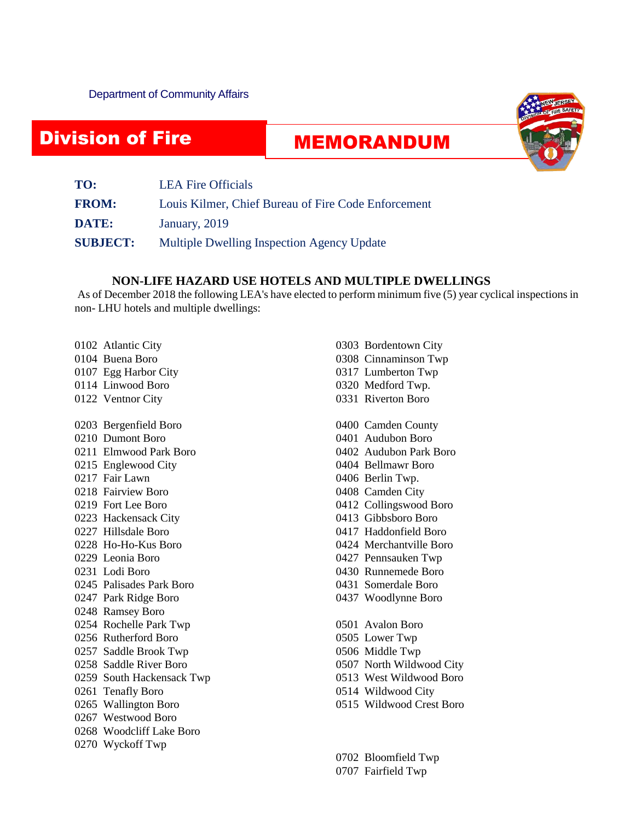## Division of Fire

Safety Safety<br>Safety Safety Safety<br>Safety Safety Safety

## MEMORANDUM



| TO:             | <b>LEA Fire Officials</b>                           |
|-----------------|-----------------------------------------------------|
| <b>FROM:</b>    | Louis Kilmer, Chief Bureau of Fire Code Enforcement |
| DATE:           | January, 2019                                       |
| <b>SUBJECT:</b> | Multiple Dwelling Inspection Agency Update          |

## **NON-LIFE HAZARD USE HOTELS AND MULTIPLE DWELLINGS**

As of December 2018 the following LEA's have elected to perform minimum five (5) year cyclical inspections in non- LHU hotels and multiple dwellings:

- 0102 Atlantic City 0104 Buena Boro 0107 Egg Harbor City 0114 Linwood Boro 0122 Ventnor City
- 0203 Bergenfield Boro
- 0210 Dumont Boro
- 0211 Elmwood Park Boro
- 0215 Englewood City
- 0217 Fair Lawn
- 0218 Fairview Boro
- 0219 Fort Lee Boro
- 0223 Hackensack City
- 0227 Hillsdale Boro
- 0228 Ho-Ho-Kus Boro
- 0229 Leonia Boro
- 0231 Lodi Boro
- 0245 Palisades Park Boro
- 0247 Park Ridge Boro
- 0248 Ramsey Boro
- 0254 Rochelle Park Twp
- 0256 Rutherford Boro
- 0257 Saddle Brook Twp
- 0258 Saddle River Boro
- 0259 South Hackensack Twp
- 0261 Tenafly Boro
- 0265 Wallington Boro
- 0267 Westwood Boro
- 0268 Woodcliff Lake Boro
- 0270 Wyckoff Twp
- 0303 Bordentown City 0308 Cinnaminson Twp 0317 Lumberton Twp
- 0320 Medford Twp.
- 0331 Riverton Boro
- 0400 Camden County
- 0401 Audubon Boro
- 0402 Audubon Park Boro
- 0404 Bellmawr Boro
- 0406 Berlin Twp.
- 0408 Camden City
- 0412 Collingswood Boro
- 0413 Gibbsboro Boro
- 0417 Haddonfield Boro
- 0424 Merchantville Boro
- 0427 Pennsauken Twp
- 0430 Runnemede Boro
- 0431 Somerdale Boro
- 0437 Woodlynne Boro
- 0501 Avalon Boro
- 0505 Lower Twp
- 0506 Middle Twp
- 0507 North Wildwood City
- 0513 West Wildwood Boro
- 0514 Wildwood City
- 0515 Wildwood Crest Boro

0702 Bloomfield Twp

0707 Fairfield Twp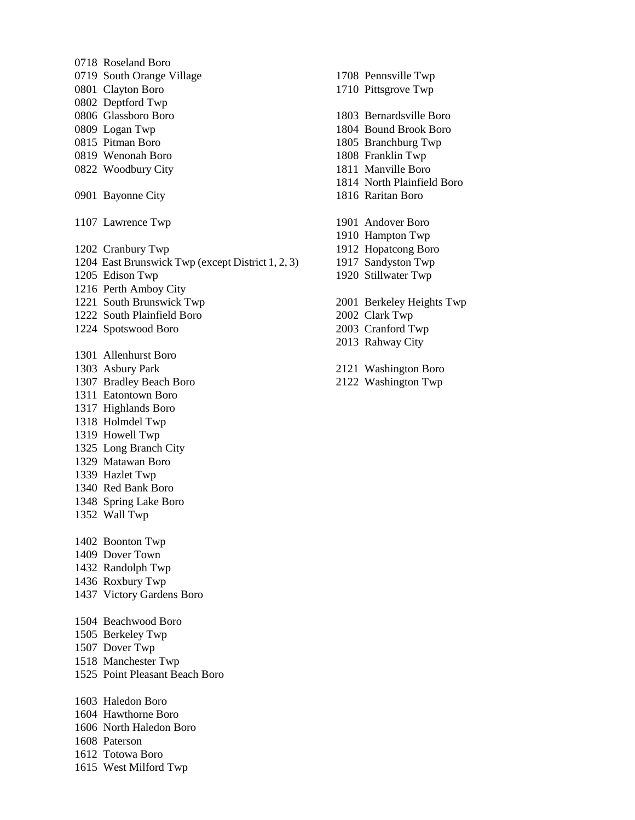0718 Roseland Boro 0719 South Orange Village 0801 Clayton Boro 0802 Deptford Twp 0806 Glassboro Boro 0809 Logan Twp 0815 Pitman Boro 0819 Wenonah Boro 0822 Woodbury City 0901 Bayonne City 1107 Lawrence Twp 1202 Cranbury Twp 1204 East Brunswick Twp (except District 1, 2, 3) 1205 Edison Twp 1216 Perth Amboy City 1221 South Brunswick Twp 1222 South Plainfield Boro 1224 Spotswood Boro 1301 Allenhurst Boro 1303 Asbury Park 1307 Bradley Beach Boro 1311 Eatontown Boro 1317 Highlands Boro 1318 Holmdel Twp 1319 Howell Twp 1325 Long Branch City 1329 Matawan Boro 1339 Hazlet Twp 1340 Red Bank Boro 1348 Spring Lake Boro 1352 Wall Twp 1402 Boonton Twp 1409 Dover Town 1432 Randolph Twp 1436 Roxbury Twp 1437 Victory Gardens Boro 1504 Beachwood Boro 1505 Berkeley Twp 1507 Dover Twp 1518 Manchester Twp 1525 Point Pleasant Beach Boro 1603 Haledon Boro 1604 Hawthorne Boro 1606 North Haledon Boro 1608 Paterson 1612 Totowa Boro

1710 Pittsgrove Twp 1803 Bernardsville Boro 1804 Bound Brook Boro 1805 Branchburg Twp 1808 Franklin Twp 1811 Manville Boro 1814 North Plainfield Boro 1816 Raritan Boro 1901 Andover Boro 1910 Hampton Twp 1912 Hopatcong Boro 1917 Sandyston Twp 1920 Stillwater Twp 2001 Berkeley Heights Twp 2002 Clark Twp 2003 Cranford Twp 2013 Rahway City

1708 Pennsville Twp

- 2121 Washington Boro
- 2122 Washington Twp

1615 West Milford Twp